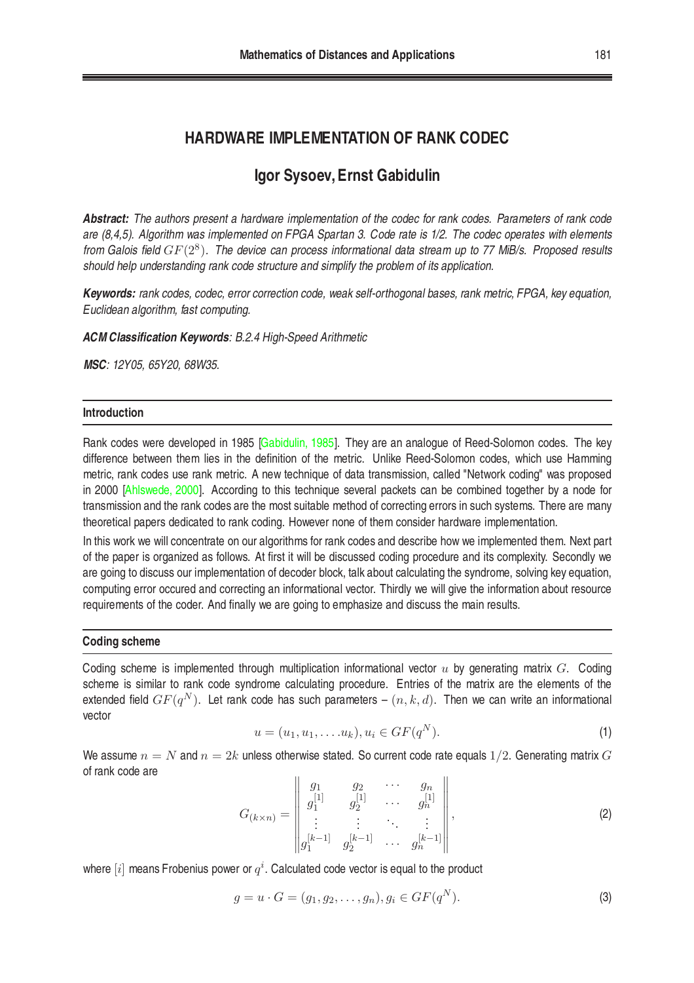# **HARDWARE IMPLEMENTATION OF RANK CODEC**

# **Igor Sysoev, Ernst Gabidulin**

*Abstract: The authors present a hardware implementation of the codec for rank codes. Parameters of rank code are (8,4,5). Algorithm was implemented on FPGA Spartan 3. Code rate is 1/2. The codec operates with elements from Galois field* GF(2<sup>8</sup> )*. The device can process informational data stream up to 77 MiB/s. Proposed results should help understanding rank code structure and simplify the problem of its application.*

*Keywords: rank codes, codec, error correction code, weak self-orthogonal bases, rank metric, FPGA, key equation, Euclidean algorithm, fast computing.*

*ACM Classification Keywords: B.2.4 High-Speed Arithmetic*

*MSC: 12Y05, 65Y20, 68W35.*

# **Introduction**

Rank codes were developed in 1985 [\[Gabidulin, 1985](#page-7-0)]. They are an analogue of Reed-Solomon codes. The key difference between them lies in the definition of the metric. Unlike Reed-Solomon codes, which use Hamming metric, rank codes use rank metric. A new technique of data transmission, called "Network coding" was proposed in 2000 [\[Ahlswede, 2000](#page-7-1)]. According to this technique several packets can be combined together by a node for transmission and the rank codes are the most suitable method of correcting errors in such systems. There are many theoretical papers dedicated to rank coding. However none of them consider hardware implementation.

In this work we will concentrate on our algorithms for rank codes and describe how we implemented them. Next part of the paper is organized as follows. At first it will be discussed coding procedure and its complexity. Secondly we are going to discuss our implementation of decoder block, talk about calculating the syndrome, solving key equation, computing error occured and correcting an informational vector. Thirdly we will give the information about resource requirements of the coder. And finally we are going to emphasize and discuss the main results.

# **Coding scheme**

Coding scheme is implemented through multiplication informational vector  $u$  by generating matrix  $G$ . Coding scheme is similar to rank code syndrome calculating procedure. Entries of the matrix are the elements of the extended field  $GF(q^N).$  Let rank code has such parameters –  $(n,k,d).$  Then we can write an informational vector

$$
u = (u_1, u_1, \dots, u_k), u_i \in GF(q^N).
$$
 (1)

<span id="page-0-0"></span>We assume  $n = N$  and  $n = 2k$  unless otherwise stated. So current code rate equals 1/2. Generating matrix G of rank code are  $\overline{11}$  $\overline{11}$ 

$$
G_{(k\times n)} = \begin{vmatrix} g_1 & g_2 & \cdots & g_n \\ g_1^{[1]} & g_2^{[1]} & \cdots & g_n^{[1]} \\ \vdots & \vdots & \ddots & \vdots \\ g_1^{[k-1]} & g_2^{[k-1]} & \cdots & g_n^{[k-1]} \end{vmatrix},
$$
 (2)

where  $[i]$  means Frobenius power or  $q^i$ . Calculated code vector is equal to the product

$$
g = u \cdot G = (g_1, g_2, \dots, g_n), g_i \in GF(q^N).
$$
 (3)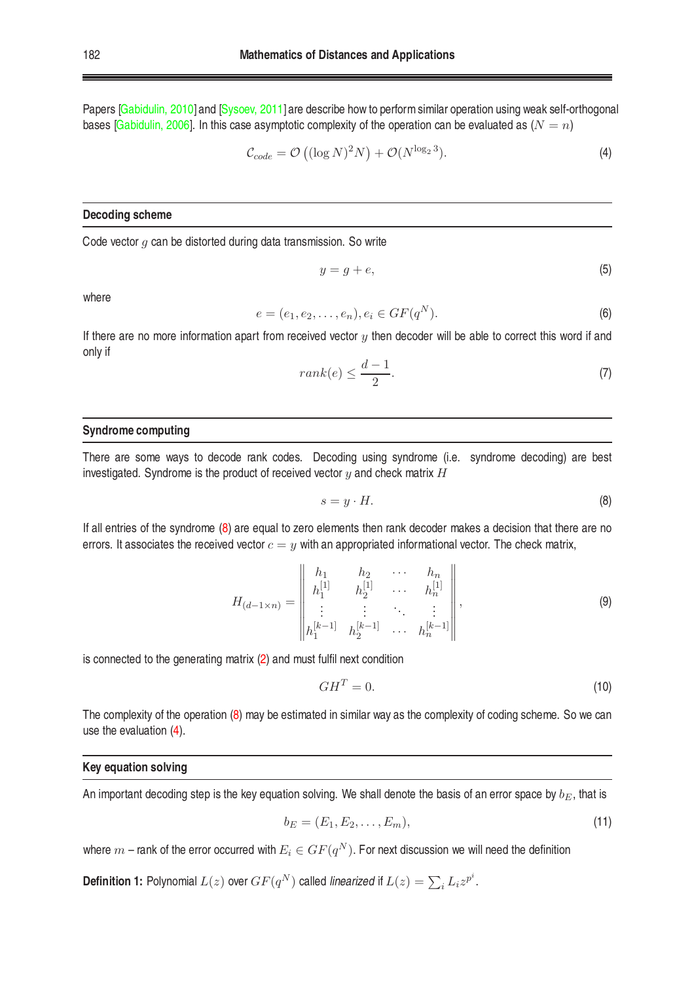Papers [\[Gabidulin, 2010\]](#page-7-2) and [\[Sysoev, 2011\]](#page-7-3) are describe how to perform similar operation using weak self-orthogonal bases [\[Gabidulin, 2006](#page-8-0)]. In this case asymptotic complexity of the operation can be evaluated as  $(N = n)$ 

<span id="page-1-1"></span>
$$
\mathcal{C}_{code} = \mathcal{O}\left((\log N)^2 N\right) + \mathcal{O}(N^{\log_2 3}).\tag{4}
$$

#### **Decoding scheme**

Code vector  $q$  can be distorted during data transmission. So write

$$
y = g + e,\tag{5}
$$

where

$$
e = (e_1, e_2, \dots, e_n), e_i \in GF(q^N).
$$
 (6)

If there are no more information apart from received vector  $y$  then decoder will be able to correct this word if and only if

$$
rank(e) \le \frac{d-1}{2}.\tag{7}
$$

# **Syndrome computing**

There are some ways to decode rank codes. Decoding using syndrome (i.e. syndrome decoding) are best investigated. Syndrome is the product of received vector  $y$  and check matrix  $H$ 

<span id="page-1-0"></span>
$$
s = y \cdot H. \tag{8}
$$

If all entries of the syndrome [\(8\)](#page-1-0) are equal to zero elements then rank decoder makes a decision that there are no errors. It associates the received vector  $c = y$  with an appropriated informational vector. The check matrix,

<span id="page-1-3"></span>
$$
H_{(d-1\times n)} = \begin{vmatrix} h_1 & h_2 & \cdots & h_n \\ h_1^{[1]} & h_2^{[1]} & \cdots & h_n^{[1]} \\ \vdots & \vdots & \ddots & \vdots \\ h_1^{[k-1]} & h_2^{[k-1]} & \cdots & h_n^{[k-1]} \end{vmatrix}, \qquad (9)
$$

is connected to the generating matrix [\(2\)](#page-0-0) and must fulfil next condition

$$
GH^T = 0.\t\t(10)
$$

The complexity of the operation [\(8\)](#page-1-0) may be estimated in similar way as the complexity of coding scheme. So we can use the evaluation [\(4\)](#page-1-1).

#### **Key equation solving**

An important decoding step is the key equation solving. We shall denote the basis of an error space by  $b_E$ , that is

<span id="page-1-2"></span>
$$
b_E = (E_1, E_2, \dots, E_m),
$$
\n(11)

where  $m$  – rank of the error occurred with  $E_i\in GF(q^N).$  For next discussion we will need the definition

**Definition 1:** Polynomial  $L(z)$  over  $GF(q^N)$  called *linearized* if  $L(z) = \sum_i L_i z^{p^i}$ .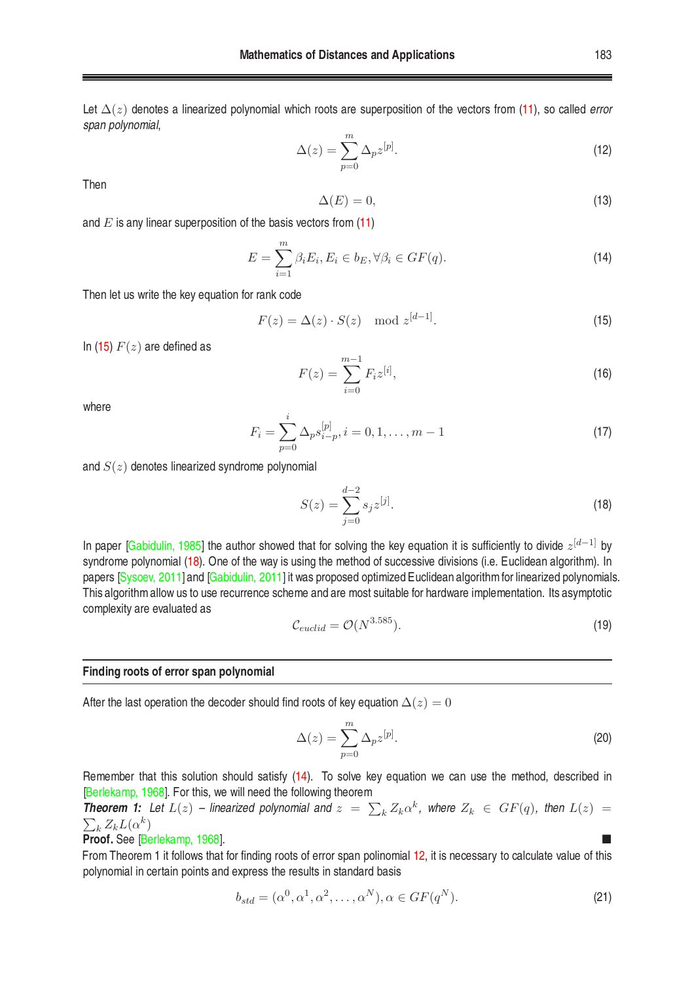Let ∆(z) denotes a linearized polynomial which roots are superposition of the vectors from [\(11\)](#page-1-2), so called *error span polynomial*,

<span id="page-2-3"></span>
$$
\Delta(z) = \sum_{p=0}^{m} \Delta_p z^{[p]}.
$$
\n(12)

Then

$$
\Delta(E) = 0,\tag{13}
$$

and  $E$  is any linear superposition of the basis vectors from  $(11)$ 

<span id="page-2-2"></span>
$$
E = \sum_{i=1}^{m} \beta_i E_i, E_i \in b_E, \forall \beta_i \in GF(q).
$$
 (14)

Then let us write the key equation for rank code

<span id="page-2-0"></span>
$$
F(z) = \Delta(z) \cdot S(z) \mod z^{[d-1]}.
$$
\n<sup>(15)</sup>

In [\(15\)](#page-2-0)  $F(z)$  are defined as

$$
F(z) = \sum_{i=0}^{m-1} F_i z^{[i]},
$$
\n(16)

where

<span id="page-2-1"></span>
$$
F_i = \sum_{p=0}^{i} \Delta_p s_{i-p}^{[p]}, i = 0, 1, \dots, m-1
$$
\n(17)

and  $S(z)$  denotes linearized syndrome polynomial

$$
S(z) = \sum_{j=0}^{d-2} s_j z^{[j]}.
$$
 (18)

In paper [\[Gabidulin, 1985](#page-7-0)] the author showed that for solving the key equation it is sufficiently to divide  $z^{[d-1]}$  by syndrome polynomial [\(18\)](#page-2-1). One of the way is using the method of successive divisions (i.e. Euclidean algorithm). In papers [\[Sysoev, 2011\]](#page-8-1)and [\[Gabidulin, 2011](#page-8-2)]itwas proposed optimized Euclidean algorithmfor linearized polynomials. This algorithmallow us to use recurrence scheme and are most suitable for hardware implementation. Its asymptotic complexity are evaluated as

$$
\mathcal{C}_{euclid} = \mathcal{O}(N^{3.585}).\tag{19}
$$

#### **Finding roots of error span polynomial**

After the last operation the decoder should find roots of key equation  $\Delta(z) = 0$ 

$$
\Delta(z) = \sum_{p=0}^{m} \Delta_p z^{[p]}.
$$
\n(20)

Remember that this solution should satisfy [\(14\)](#page-2-2). To solve key equation we can use the method, described in [\[Berlekamp, 1968\]](#page-8-3). For this, we will need the following theorem

**Theorem 1:** Let  $L(z)$  – linearized polynomial and  $z = \sum_k Z_k \alpha^k$ , where  $Z_k \in GF(q)$ , then  $L(z)$  =  $\sum_k Z_k L(\alpha^k)$ 

### **Proof.** See [\[Berlekamp, 1968\]](#page-8-3).

From Theorem 1 it follows that for finding roots of error span polinomial [12,](#page-2-3) it is necessary to calculate value of this polynomial in certain points and express the results in standard basis

$$
b_{std} = (\alpha^0, \alpha^1, \alpha^2, \dots, \alpha^N), \alpha \in GF(q^N). \tag{21}
$$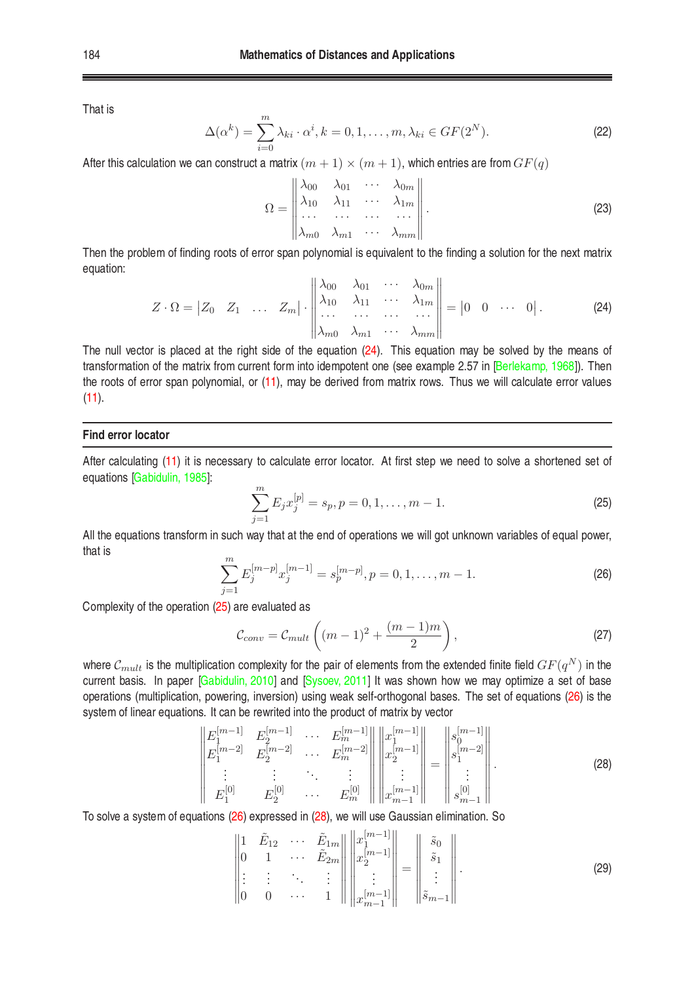That is

$$
\Delta(\alpha^k) = \sum_{i=0}^m \lambda_{ki} \cdot \alpha^i, k = 0, 1, \dots, m, \lambda_{ki} \in GF(2^N).
$$
 (22)

After this calculation we can construct a matrix  $(m + 1) \times (m + 1)$ , which entries are from  $GF(q)$ 

$$
\Omega = \begin{vmatrix}\n\lambda_{00} & \lambda_{01} & \cdots & \lambda_{0m} \\
\lambda_{10} & \lambda_{11} & \cdots & \lambda_{1m} \\
\vdots & \vdots & \ddots & \vdots \\
\lambda_{m0} & \lambda_{m1} & \cdots & \lambda_{mm}\n\end{vmatrix}.
$$
\n(23)

<span id="page-3-0"></span>Then the problem of finding roots of error span polynomial is equivalent to the finding a solution for the next matrix equation:

$$
Z \cdot \Omega = \begin{vmatrix} Z_0 & Z_1 & \dots & Z_m \end{vmatrix} \cdot \begin{vmatrix} \lambda_{00} & \lambda_{01} & \cdots & \lambda_{0m} \\ \lambda_{10} & \lambda_{11} & \cdots & \lambda_{1m} \\ \vdots & \vdots & \ddots & \vdots \\ \lambda_{m0} & \lambda_{m1} & \cdots & \lambda_{mm} \end{vmatrix} = \begin{vmatrix} 0 & 0 & \cdots & 0 \end{vmatrix}.
$$
 (24)

The null vector is placed at the right side of the equation [\(24\)](#page-3-0). This equation may be solved by the means of transformation of the matrix from current form into idempotent one (see example 2.57 in [\[Berlekamp, 1968](#page-8-3)]). Then the roots of error span polynomial, or [\(11\)](#page-1-2), may be derived from matrix rows. Thus we will calculate error values  $(11)$ .

#### **Find error locator**

After calculating [\(11\)](#page-1-2) it is necessary to calculate error locator. At first step we need to solve a shortened set of equations [\[Gabidulin, 1985](#page-7-0)]:

<span id="page-3-1"></span>
$$
\sum_{j=1}^{m} E_j x_j^{[p]} = s_p, p = 0, 1, \dots, m - 1.
$$
 (25)

<span id="page-3-2"></span>All the equations transform in such way that at the end of operations we will got unknown variables of equal power, that is

$$
\sum_{j=1}^{m} E_j^{[m-p]} x_j^{[m-1]} = s_p^{[m-p]}, p = 0, 1, \dots, m-1.
$$
 (26)

Complexity of the operation [\(25\)](#page-3-1) are evaluated as

$$
\mathcal{C}_{conv} = \mathcal{C}_{mult}\left((m-1)^2 + \frac{(m-1)m}{2}\right),\tag{27}
$$

where  $\mathcal{C}_{mult}$  is the multiplication complexity for the pair of elements from the extended finite field  $GF(q^N)$  in the current basis. In paper [\[Gabidulin, 2010](#page-7-2)] and [\[Sysoev, 2011\]](#page-8-1) It was shown how we may optimize a set of base operations (multiplication, powering, inversion) using weak self-orthogonal bases. The set of equations [\(26\)](#page-3-2) is the system of linear equations. It can be rewrited into the product of matrix by vector

$$
\begin{vmatrix} E_1^{[m-1]} & E_2^{[m-1]} & \cdots & E_m^{[m-1]} \\ E_1^{[m-2]} & E_2^{[m-2]} & \cdots & E_m^{[m-2]} \\ \vdots & \vdots & \ddots & \vdots \\ E_1^{[0]} & E_2^{[0]} & \cdots & E_m^{[0]} \end{vmatrix} \begin{vmatrix} x_1^{[m-1]} \\ x_2^{[m-1]} \\ \vdots \\ x_{m-1}^{[m-1]} \end{vmatrix} = \begin{vmatrix} s_0^{[m-1]} \\ s_1^{[m-2]} \\ \vdots \\ s_{m-1}^{[0]} \end{vmatrix} . \tag{28}
$$

<span id="page-3-4"></span><span id="page-3-3"></span>To solve a system of equations [\(26\)](#page-3-2) expressed in [\(28\)](#page-3-3), we will use Gaussian elimination. So

$$
\begin{vmatrix} 1 & \tilde{E}_{12} & \cdots & \tilde{E}_{1m} \\ 0 & 1 & \cdots & \tilde{E}_{2m} \\ \vdots & \vdots & \ddots & \vdots \\ 0 & 0 & \cdots & 1 \end{vmatrix} \begin{vmatrix} x_1^{[m-1]} \\ x_2^{[m-1]} \\ \vdots \\ x_{m-1}^{[m-1]} \end{vmatrix} = \begin{vmatrix} \tilde{s}_0 \\ \tilde{s}_1 \\ \vdots \\ \tilde{s}_{m-1} \end{vmatrix} . \tag{29}
$$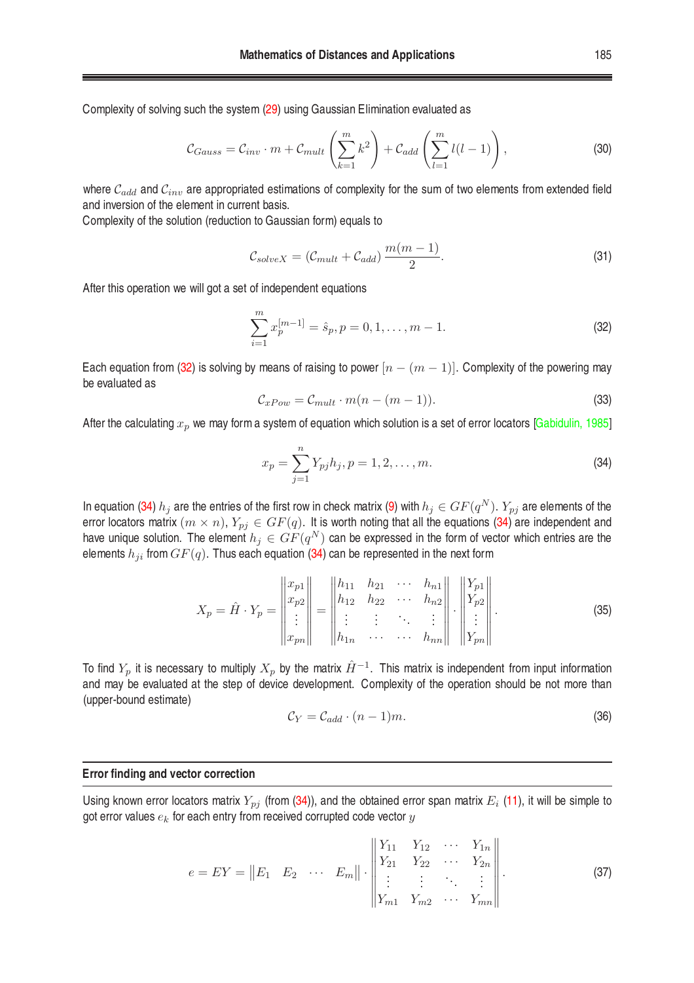Complexity of solving such the system [\(29\)](#page-3-4) using Gaussian Elimination evaluated as

$$
C_{Gauss} = C_{inv} \cdot m + C_{mult} \left(\sum_{k=1}^{m} k^2\right) + C_{add} \left(\sum_{l=1}^{m} l(l-1)\right),\tag{30}
$$

where  $C_{add}$  and  $C_{inv}$  are appropriated estimations of complexity for the sum of two elements from extended field and inversion of the element in current basis.

Complexity of the solution (reduction to Gaussian form) equals to

$$
C_{solveX} = (C_{mult} + C_{add}) \frac{m(m-1)}{2}.
$$
\n(31)

<span id="page-4-0"></span>After this operation we will got a set of independent equations

$$
\sum_{i=1}^{m} x_p^{[m-1]} = \hat{s}_p, p = 0, 1, \dots, m-1.
$$
 (32)

Each equation from [\(32\)](#page-4-0) is solving by means of raising to power  $[n - (m - 1)]$ . Complexity of the powering may be evaluated as

$$
\mathcal{C}_{xPow} = \mathcal{C}_{mult} \cdot m(n - (m - 1)).\tag{33}
$$

After the calculating  $x_p$  we may form a system of equation which solution is a set of error locators [\[Gabidulin, 1985\]](#page-7-0)

<span id="page-4-1"></span>
$$
x_p = \sum_{j=1}^n Y_{pj} h_j, p = 1, 2, \dots, m.
$$
 (34)

In equation [\(34\)](#page-4-1)  $h_j$  are the entries of the first row in check matrix [\(9\)](#page-1-3) with  $h_j\in GF(q^N).$   $Y_{pj}$  are elements of the error locators matrix  $(m \times n)$ ,  $Y_{pj} \in GF(q)$ . It is worth noting that all the equations [\(34\)](#page-4-1) are independent and have unique solution. The element  $h_j \in GF(q^N)$  can be expressed in the form of vector which entries are the elements  $h_{ji}$  from  $GF(q)$ . Thus each equation [\(34\)](#page-4-1) can be represented in the next form

$$
X_{p} = \hat{H} \cdot Y_{p} = \begin{vmatrix} x_{p1} \\ x_{p2} \\ \vdots \\ x_{pn} \end{vmatrix} = \begin{vmatrix} h_{11} & h_{21} & \cdots & h_{n1} \\ h_{12} & h_{22} & \cdots & h_{n2} \\ \vdots & \vdots & \ddots & \vdots \\ h_{1n} & \cdots & \cdots & h_{nn} \end{vmatrix} \cdot \begin{vmatrix} Y_{p1} \\ Y_{p2} \\ \vdots \\ Y_{pn} \end{vmatrix}.
$$
 (35)

To find  $Y_p$  it is necessary to multiply  $X_p$  by the matrix  $\hat{H}^{-1}$ . This matrix is independent from input information and may be evaluated at the step of device development. Complexity of the operation should be not more than (upper-bound estimate)

$$
\mathcal{C}_Y = \mathcal{C}_{add} \cdot (n-1)m. \tag{36}
$$

# **Error finding and vector correction**

Using known error locators matrix  $Y_{pj}$  (from [\(34\)](#page-4-1)), and the obtained error span matrix  $E_i$  [\(11\)](#page-1-2), it will be simple to got error values  $e_k$  for each entry from received corrupted code vector  $y$ 

$$
e = EY = ||E_1 \quad E_2 \quad \cdots \quad E_m|| \cdot \begin{vmatrix} Y_{11} & Y_{12} & \cdots & Y_{1n} \\ Y_{21} & Y_{22} & \cdots & Y_{2n} \\ \vdots & \vdots & \ddots & \vdots \\ Y_{m1} & Y_{m2} & \cdots & Y_{mn} \end{vmatrix}.
$$
 (37)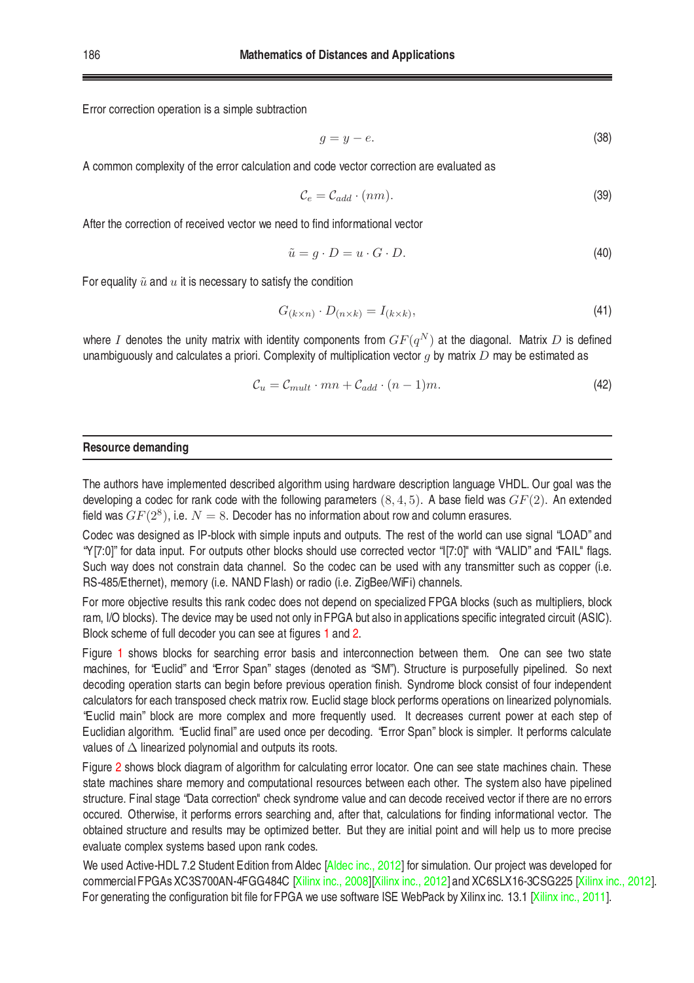Error correction operation is a simple subtraction

$$
g = y - e.\t\t(38)
$$

A common complexity of the error calculation and code vector correction are evaluated as

$$
\mathcal{C}_e = \mathcal{C}_{add} \cdot (nm). \tag{39}
$$

After the correction of received vector we need to find informational vector

$$
\tilde{u} = g \cdot D = u \cdot G \cdot D. \tag{40}
$$

For equality  $\tilde{u}$  and  $u$  it is necessary to satisfy the condition

$$
G_{(k\times n)} \cdot D_{(n\times k)} = I_{(k\times k)},\tag{41}
$$

where I denotes the unity matrix with identity components from  $GF(q^N)$  at the diagonal. Matrix  $D$  is defined unambiguously and calculates a priori. Complexity of multiplication vector  $g$  by matrix  $D$  may be estimated as

$$
\mathcal{C}_u = \mathcal{C}_{mult} \cdot mn + \mathcal{C}_{add} \cdot (n-1)m. \tag{42}
$$

## **Resource demanding**

The authors have implemented described algorithm using hardware description language VHDL. Our goal was the developing a codec for rank code with the following parameters  $(8, 4, 5)$ . A base field was  $GF(2)$ . An extended field was  $GF(2^8)$ , i.e.  $N=8.$  Decoder has no information about row and column erasures.

Codec was designed as IP-block with simple inputs and outputs. The rest of the world can use signal "LOAD" and "Y[7:0]" for data input. For outputs other blocks should use corrected vector "I[7:0]" with "VALID" and "FAIL" flags. Such way does not constrain data channel. So the codec can be used with any transmitter such as copper (i.e. RS-485/Ethernet), memory (i.e. NAND Flash) or radio (i.e. ZigBee/WiFi) channels.

For more objective results this rank codec does not depend on specialized FPGA blocks (such as multipliers, block ram, I/O blocks). The device may be used not only in FPGA but also in applications specific integrated circuit (ASIC). Block scheme of full decoder you can see at figures [1](#page-6-0) and [2.](#page-6-1)

Figure [1](#page-6-0) shows blocks for searching error basis and interconnection between them. One can see two state machines, for "Euclid" and "Error Span" stages (denoted as "SM"). Structure is purposefully pipelined. So next decoding operation starts can begin before previous operation finish. Syndrome block consist of four independent calculators for each transposed check matrix row. Euclid stage block performs operations on linearized polynomials. "Euclid main" block are more complex and more frequently used. It decreases current power at each step of Euclidian algorithm. "Euclid final" are used once per decoding. "Error Span" block is simpler. It performs calculate values of ∆ linearized polynomial and outputs its roots.

Figure [2](#page-6-1) shows block diagram of algorithm for calculating error locator. One can see state machines chain. These state machines share memory and computational resources between each other. The system also have pipelined structure. Final stage "Data correction" check syndrome value and can decode received vector if there are no errors occured. Otherwise, it performs errors searching and, after that, calculations for finding informational vector. The obtained structure and results may be optimized better. But they are initial point and will help us to more precise evaluate complex systems based upon rank codes.

We used Active-HDL 7.2 Student Edition from Aldec [\[Aldec inc., 2012\]](#page-8-4) for simulation. Our project was developed for commercial FPGAs XC3S700AN-4FGG484C [\[Xilinx inc., 2008](#page-8-5)][\[Xilinx inc., 2012](#page-8-6)] and XC6SLX16-3CSG225 [\[Xilinx inc., 2012](#page-8-7)]. For generating the configuration bit file for FPGA we use software ISE WebPack by Xilinx inc. 13.1 [\[Xilinx inc., 2011](#page-8-8)].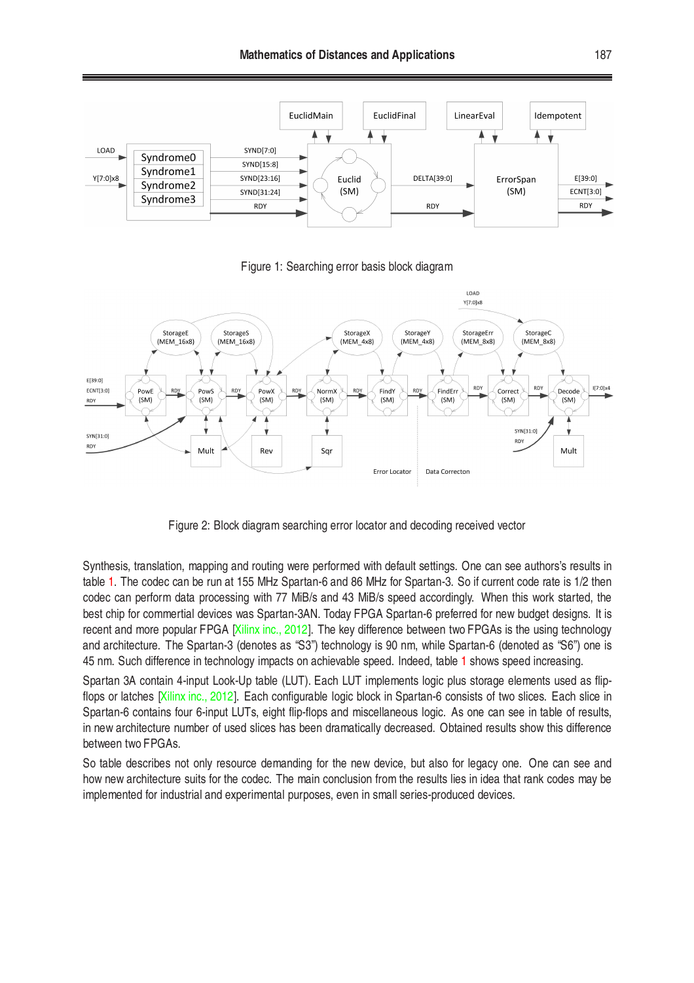

<span id="page-6-0"></span>Figure 1: Searching error basis block diagram



<span id="page-6-1"></span>Figure 2: Block diagram searching error locator and decoding received vector

Synthesis, translation, mapping and routing were performed with default settings. One can see authors's results in table [1.](#page-7-4) The codec can be run at 155 MHz Spartan-6 and 86 MHz for Spartan-3. So if current code rate is 1/2 then codec can perform data processing with 77 MiB/s and 43 MiB/s speed accordingly. When this work started, the best chip for commertial devices was Spartan-3AN. Today FPGA Spartan-6 preferred for new budget designs. It is recent and more popular FPGA [\[Xilinx inc., 2012\]](#page-8-7). The key difference between two FPGAs is the using technology and architecture. The Spartan-3 (denotes as "S3") technology is 90 nm, while Spartan-6 (denoted as "S6") one is 45 nm. Such difference in technology impacts on achievable speed. Indeed, table [1](#page-7-4) shows speed increasing.

Spartan 3A contain 4-input Look-Up table (LUT). Each LUT implements logic plus storage elements used as flipflops or latches [\[Xilinx inc., 2012](#page-8-6)]. Each configurable logic block in Spartan-6 consists of two slices. Each slice in Spartan-6 contains four 6-input LUTs, eight flip-flops and miscellaneous logic. As one can see in table of results, in new architecture number of used slices has been dramatically decreased. Obtained results show this difference between two FPGAs.

So table describes not only resource demanding for the new device, but also for legacy one. One can see and how new architecture suits for the codec. The main conclusion from the results lies in idea that rank codes may be implemented for industrial and experimental purposes, even in small series-produced devices.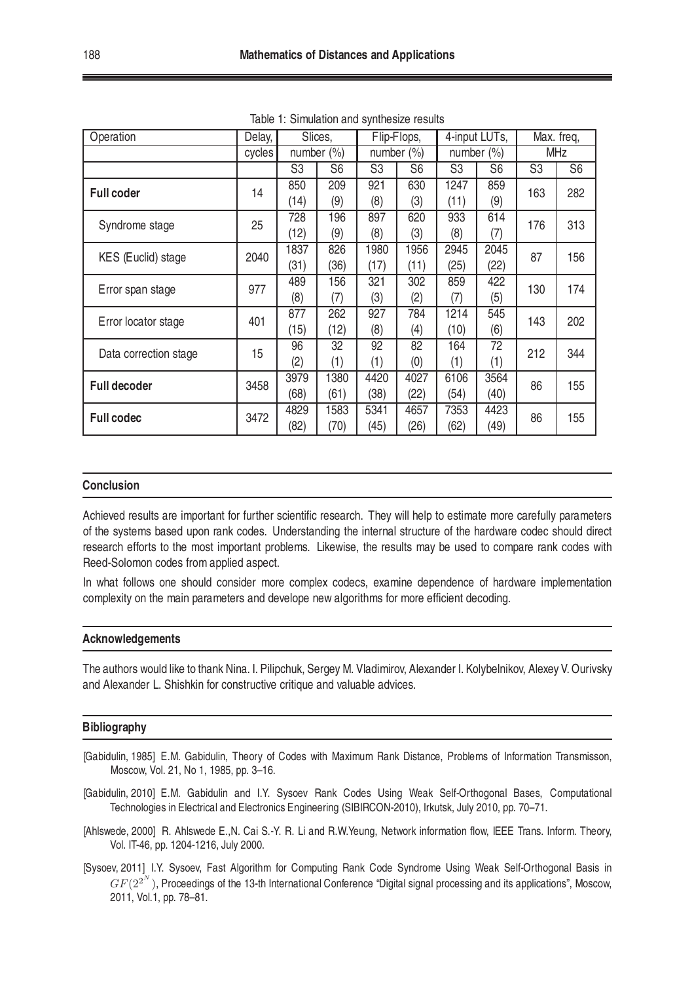| Operation             | Delay, | Slices,        |                | Flip-Flops,    |                | 4-input LUTs,  |                | Max. freq,     |                |
|-----------------------|--------|----------------|----------------|----------------|----------------|----------------|----------------|----------------|----------------|
|                       | cycles | number $(\% )$ |                | number $(\% )$ |                | number $(\% )$ |                | <b>MHz</b>     |                |
|                       |        | S <sub>3</sub> | S <sub>6</sub> | S <sub>3</sub> | S <sub>6</sub> | S3             | S <sub>6</sub> | S <sub>3</sub> | S <sub>6</sub> |
| <b>Full coder</b>     | 14     | 850            | 209            | 921            | 630            | 1247           | 859            | 163            | 282            |
|                       |        | (14)           | (9)            | (8)            | (3)            | (11)           | (9)            |                |                |
| Syndrome stage        | 25     | 728            | 196            | 897            | 620            | 933            | 614            | 176            | 313            |
|                       |        | (12)           | (9)            | (8)            | (3)            | (8)            | (7)            |                |                |
| KES (Euclid) stage    | 2040   | 1837           | 826            | 1980           | 1956           | 2945           | 2045           | 87             | 156            |
|                       |        | (31)           | (36)           | (17)           | (11)           | (25)           | (22)           |                |                |
| Error span stage      | 977    | 489            | 156            | 321            | 302            | 859            | 422            | 130            | 174            |
|                       |        | (8)            | (7)            | (3)            | (2)            | (7)            | (5)            |                |                |
| Error locator stage   | 401    | 877            | 262            | 927            | 784            | 1214           | 545            | 143            | 202            |
|                       |        | (15)           | (12)           | (8)            | (4)            | (10)           | (6)            |                |                |
| Data correction stage | 15     | 96             | 32             | 92             | 82             | 164            | 72             | 212            | 344            |
|                       |        | (2)            | (1)            | (1)            | (0)            | (1)            | (1)            |                |                |
| <b>Full decoder</b>   | 3458   | 3979           | 1380           | 4420           | 4027           | 6106           | 3564           | 86             | 155            |
|                       |        | (68)           | (61)           | (38)           | (22)           | (54)           | (40)           |                |                |
| <b>Full codec</b>     | 3472   | 4829           | 1583           | 5341           | 4657           | 7353           | 4423           | 86             | 155            |
|                       |        | (82)           | (70)           | (45)           | (26)           | (62)           | (49)           |                |                |

<span id="page-7-4"></span>Table 1: Simulation and synthesize results

#### **Conclusion**

Achieved results are important for further scientific research. They will help to estimate more carefully parameters of the systems based upon rank codes. Understanding the internal structure of the hardware codec should direct research efforts to the most important problems. Likewise, the results may be used to compare rank codes with Reed-Solomon codes from applied aspect.

In what follows one should consider more complex codecs, examine dependence of hardware implementation complexity on the main parameters and develope new algorithms for more efficient decoding.

#### **Acknowledgements**

The authors would like tothank Nina. I. Pilipchuk, Sergey M. Vladimirov, Alexander I. Kolybelnikov, Alexey V. Ourivsky and Alexander L. Shishkin for constructive critique and valuable advices.

#### **Bibliography**

- <span id="page-7-0"></span>[Gabidulin, 1985] E.M. Gabidulin, Theory of Codes with Maximum Rank Distance, Problems of Information Transmisson, Moscow, Vol. 21, No 1, 1985, pp. 3–16.
- <span id="page-7-2"></span>[Gabidulin, 2010] E.M. Gabidulin and I.Y. Sysoev Rank Codes Using Weak Self-Orthogonal Bases, Computational Technologies in Electrical and Electronics Engineering (SIBIRCON-2010), Irkutsk, July 2010, pp. 70–71.
- <span id="page-7-1"></span>[Ahlswede, 2000] R. Ahlswede E., N. Cai S.-Y. R. Li and R.W. Yeung, Network information flow, IEEE Trans. Inform. Theory, Vol. IT-46, pp. 1204-1216, July 2000.
- <span id="page-7-3"></span>[Sysoev, 2011] I.Y. Sysoev, Fast Algorithm for Computing Rank Code Syndrome Using Weak Self-Orthogonal Basis in  $GF(2^{2^N})$ , Proceedings of the 13-th International Conference "Digital signal processing and its applications", Moscow, 2011, Vol.1, pp. 78–81.